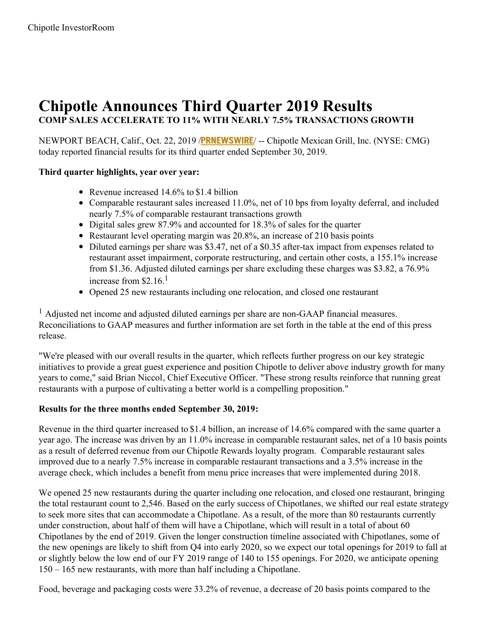# **Chipotle Announces Third Quarter 2019 Results COMP SALES ACCELERATE TO 11% WITH NEARLY 7.5% TRANSACTIONS GROWTH**

NEWPORT BEACH, Calif., Oct. 22, 2019 /**[PRNEWSWIRE](http://www.prnewswire.com/)**/ -- Chipotle Mexican Grill, Inc. (NYSE: CMG) today reported financial results for its third quarter ended September 30, 2019.

## **Third quarter highlights, year over year:**

- Revenue increased 14.6% to \$1.4 billion
- Comparable restaurant sales increased 11.0%, net of 10 bps from loyalty deferral, and included nearly 7.5% of comparable restaurant transactions growth
- Digital sales grew 87.9% and accounted for 18.3% of sales for the quarter
- Restaurant level operating margin was 20.8%, an increase of 210 basis points
- Diluted earnings per share was \$3.47, net of a \$0.35 after-tax impact from expenses related to restaurant asset impairment, corporate restructuring, and certain other costs, a 155.1% increase from \$1.36. Adjusted diluted earnings per share excluding these charges was \$3.82, a 76.9% increase from \$2.16. 1
- Opened 25 new restaurants including one relocation, and closed one restaurant

<sup>1</sup> Adjusted net income and adjusted diluted earnings per share are non-GAAP financial measures. Reconciliations to GAAP measures and further information are set forth in the table at the end of this press release.

"We're pleased with our overall results in the quarter, which reflects further progress on our key strategic initiatives to provide a great guest experience and position Chipotle to deliver above industry growth for many years to come," said Brian Niccol, Chief Executive Officer. "These strong results reinforce that running great restaurants with a purpose of cultivating a better world is a compelling proposition."

## **Results for the three months ended September 30, 2019:**

Revenue in the third quarter increased to \$1.4 billion, an increase of 14.6% compared with the same quarter a year ago. The increase was driven by an 11.0% increase in comparable restaurant sales, net of a 10 basis points as a result of deferred revenue from our Chipotle Rewards loyalty program. Comparable restaurant sales improved due to a nearly 7.5% increase in comparable restaurant transactions and a 3.5% increase in the average check, which includes a benefit from menu price increases that were implemented during 2018.

We opened 25 new restaurants during the quarter including one relocation, and closed one restaurant, bringing the total restaurant count to 2,546. Based on the early success of Chipotlanes, we shifted our real estate strategy to seek more sites that can accommodate a Chipotlane. As a result, of the more than 80 restaurants currently under construction, about half of them will have a Chipotlane, which will result in a total of about 60 Chipotlanes by the end of 2019. Given the longer construction timeline associated with Chipotlanes, some of the new openings are likely to shift from Q4 into early 2020, so we expect our total openings for 2019 to fall at or slightly below the low end of our FY 2019 range of 140 to 155 openings. For 2020, we anticipate opening 150 – 165 new restaurants, with more than half including a Chipotlane.

Food, beverage and packaging costs were 33.2% of revenue, a decrease of 20 basis points compared to the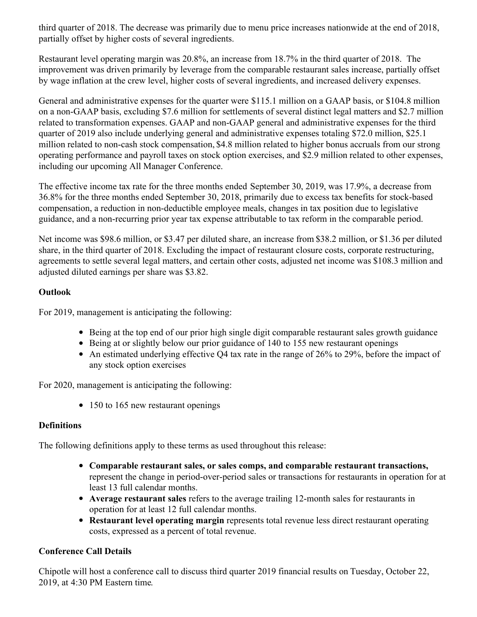third quarter of 2018. The decrease was primarily due to menu price increases nationwide at the end of 2018, partially offset by higher costs of several ingredients.

Restaurant level operating margin was 20.8%, an increase from 18.7% in the third quarter of 2018. The improvement was driven primarily by leverage from the comparable restaurant sales increase, partially offset by wage inflation at the crew level, higher costs of several ingredients, and increased delivery expenses.

General and administrative expenses for the quarter were \$115.1 million on a GAAP basis, or \$104.8 million on a non-GAAP basis, excluding \$7.6 million for settlements of several distinct legal matters and \$2.7 million related to transformation expenses. GAAP and non-GAAP general and administrative expenses for the third quarter of 2019 also include underlying general and administrative expenses totaling \$72.0 million, \$25.1 million related to non-cash stock compensation, \$4.8 million related to higher bonus accruals from our strong operating performance and payroll taxes on stock option exercises, and \$2.9 million related to other expenses, including our upcoming All Manager Conference.

The effective income tax rate for the three months ended September 30, 2019, was 17.9%, a decrease from 36.8% for the three months ended September 30, 2018, primarily due to excess tax benefits for stock-based compensation, a reduction in non-deductible employee meals, changes in tax position due to legislative guidance, and a non-recurring prior year tax expense attributable to tax reform in the comparable period.

Net income was \$98.6 million, or \$3.47 per diluted share, an increase from \$38.2 million, or \$1.36 per diluted share, in the third quarter of 2018. Excluding the impact of restaurant closure costs, corporate restructuring, agreements to settle several legal matters, and certain other costs, adjusted net income was \$108.3 million and adjusted diluted earnings per share was \$3.82.

## **Outlook**

For 2019, management is anticipating the following:

- Being at the top end of our prior high single digit comparable restaurant sales growth guidance
- Being at or slightly below our prior guidance of 140 to 155 new restaurant openings
- An estimated underlying effective Q4 tax rate in the range of 26% to 29%, before the impact of any stock option exercises

For 2020, management is anticipating the following:

• 150 to 165 new restaurant openings

## **Definitions**

The following definitions apply to these terms as used throughout this release:

- **Comparable restaurant sales, or sales comps, and comparable restaurant transactions,** represent the change in period-over-period sales or transactions for restaurants in operation for at least 13 full calendar months.
- **Average restaurant sales** refers to the average trailing 12-month sales for restaurants in operation for at least 12 full calendar months.
- **Restaurant level operating margin** represents total revenue less direct restaurant operating costs, expressed as a percent of total revenue.

## **Conference Call Details**

Chipotle will host a conference call to discuss third quarter 2019 financial results on Tuesday, October 22, 2019, at 4:30 PM Eastern time.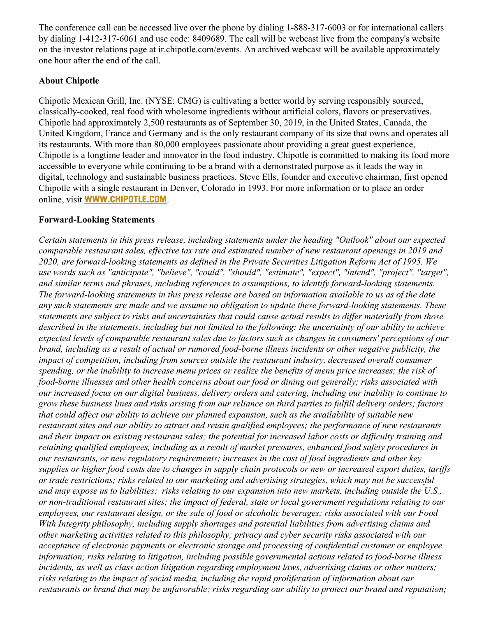The conference call can be accessed live over the phone by dialing 1-888-317-6003 or for international callers by dialing 1-412-317-6061 and use code: 8409689. The call will be webcast live from the company's website on the investor relations page at ir.chipotle.com/events. An archived webcast will be available approximately one hour after the end of the call.

## **About Chipotle**

Chipotle Mexican Grill, Inc. (NYSE: CMG) is cultivating a better world by serving responsibly sourced, classically-cooked, real food with wholesome ingredients without artificial colors, flavors or preservatives. Chipotle had approximately 2,500 restaurants as of September 30, 2019, in the United States, Canada, the United Kingdom, France and Germany and is the only restaurant company of its size that owns and operates all its restaurants. With more than 80,000 employees passionate about providing a great guest experience, Chipotle is a longtime leader and innovator in the food industry. Chipotle is committed to making its food more accessible to everyone while continuing to be a brand with a demonstrated purpose as it leads the way in digital, technology and sustainable business practices. Steve Ells, founder and executive chairman, first opened Chipotle with a single restaurant in Denver, Colorado in 1993. For more information or to place an order online, visit **[WWW.CHIPOTLE.COM](https://c212.net/c/link/?t=0&l=en&o=2618817-1&h=705113569&u=https%3A%2F%2Fc212.net%2Fc%2Flink%2F%3Ft%3D0%26l%3Den%26o%3D2358795-1%26h%3D1621835086%26u%3Dhttps%253A%252F%252Fc212.net%252Fc%252Flink%252F%253Ft%253D0%2526l%253Den%2526o%253D2335494-1%2526h%253D854222371%2526u%253Dhttp%25253A%25252F%25252Fwww.chipotle.com%25252F%2526a%253DWWW.CHIPOTLE.COM%26a%3DWWW.CHIPOTLE.COM&a=WWW.CHIPOTLE.COM)**.

#### **Forward-Looking Statements**

*Certain statements in this press release, including statements under the heading "Outlook" about our expected* comparable restaurant sales, effective tax rate and estimated number of new restaurant openings in 2019 and *2020, are forward-looking statements as defined in the Private Securities Litigation Reform Act of 1995. We use words such as "anticipate", "believe", "could", "should", "estimate", "expect", "intend", "project", "target", and similar terms and phrases, including references to assumptions, to identify forward-looking statements.* The forward-looking statements in this press release are based on information available to us as of the date *any such statements are made and we assume no obligation to update these forward-looking statements. These* statements are subject to risks and uncertainties that could cause actual results to differ materially from those described in the statements, including but not limited to the following: the uncertainty of our ability to achieve expected levels of comparable restaurant sales due to factors such as changes in consumers' perceptions of our brand, including as a result of actual or rumored food-borne illness incidents or other negative publicity, the *impact of competition, including from sources outside the restaurant industry, decreased overall consumer* spending, or the inability to increase menu prices or realize the benefits of menu price increases; the risk of *food-borne illnesses and other health concerns about our food or dining out generally; risks associated with* our increased focus on our digital business, delivery orders and catering, including our inability to continue to grow these business lines and risks arising from our reliance on third parties to fulfill delivery orders; factors that could affect our ability to achieve our planned expansion, such as the availability of suitable new *restaurant sites and our ability to attract and retain qualified employees; the performance of new restaurants* and their impact on existing restaurant sales; the potential for increased labor costs or difficulty training and *retaining qualified employees, including as a result of market pressures, enhanced food safety procedures in our restaurants, or new regulatory requirements; increases in the cost of food ingredients and other key* supplies or higher food costs due to changes in supply chain protocols or new or increased export duties, tariffs *or trade restrictions; risks related to our marketing and advertising strategies, which may not be successful* and may expose us to liabilities; risks relating to our expansion into new markets, including outside the U.S., or non-traditional restaurant sites; the impact of federal, state or local government regulations relating to our employees, our restaurant design, or the sale of food or alcoholic beverages; risks associated with our Food *With Integrity philosophy, including supply shortages and potential liabilities from advertising claims and other marketing activities related to this philosophy; privacy and cyber security risks associated with our acceptance of electronic payments or electronic storage and processing of confidential customer or employee information; risks relating to litigation, including possible governmental actions related to food-borne illness incidents, as well as class action litigation regarding employment laws, advertising claims or other matters; risks relating to the impact of social media, including the rapid proliferation of information about our* restaurants or brand that may be unfavorable; risks regarding our ability to protect our brand and reputation;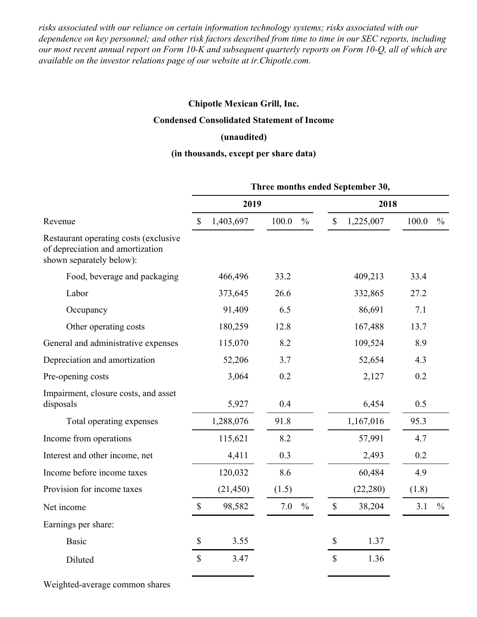*risks associated with our reliance on certain information technology systems; risks associated with our* dependence on key personnel; and other risk factors described from time to time in our SEC reports, including our most recent annual report on Form 10-K and subsequent quarterly reports on Form 10-Q, all of which are *available on the investor relations page of our website at ir.Chipotle.com.*

#### **Chipotle Mexican Grill, Inc.**

#### **Condensed Consolidated Statement of Income**

#### **(unaudited)**

#### **(in thousands, except per share data)**

|                                                                                                       | Three months ended September 30, |           |       |               |               |           |       |               |
|-------------------------------------------------------------------------------------------------------|----------------------------------|-----------|-------|---------------|---------------|-----------|-------|---------------|
|                                                                                                       |                                  | 2019      |       |               | 2018          |           |       |               |
| Revenue                                                                                               |                                  | 1,403,697 | 100.0 | $\frac{0}{0}$ | $\mathcal{S}$ | 1,225,007 | 100.0 | $\frac{0}{0}$ |
| Restaurant operating costs (exclusive<br>of depreciation and amortization<br>shown separately below): |                                  |           |       |               |               |           |       |               |
| Food, beverage and packaging                                                                          |                                  | 466,496   | 33.2  |               |               | 409,213   | 33.4  |               |
| Labor                                                                                                 |                                  | 373,645   | 26.6  |               |               | 332,865   | 27.2  |               |
| Occupancy                                                                                             |                                  | 91,409    | 6.5   |               |               | 86,691    | 7.1   |               |
| Other operating costs                                                                                 |                                  | 180,259   | 12.8  |               |               | 167,488   | 13.7  |               |
| General and administrative expenses                                                                   |                                  | 115,070   | 8.2   |               |               | 109,524   | 8.9   |               |
| Depreciation and amortization                                                                         |                                  | 52,206    | 3.7   |               |               | 52,654    | 4.3   |               |
| Pre-opening costs                                                                                     |                                  | 3,064     | 0.2   |               |               | 2,127     | 0.2   |               |
| Impairment, closure costs, and asset<br>disposals                                                     |                                  | 5,927     | 0.4   |               |               | 6,454     | 0.5   |               |
| Total operating expenses                                                                              |                                  | 1,288,076 | 91.8  |               |               | 1,167,016 | 95.3  |               |
| Income from operations                                                                                |                                  | 115,621   | 8.2   |               |               | 57,991    | 4.7   |               |
| Interest and other income, net                                                                        |                                  | 4,411     | 0.3   |               |               | 2,493     | 0.2   |               |
| Income before income taxes                                                                            |                                  | 120,032   | 8.6   |               |               | 60,484    | 4.9   |               |
| Provision for income taxes                                                                            |                                  | (21, 450) | (1.5) |               |               | (22, 280) | (1.8) |               |
| Net income                                                                                            | $\$$                             | 98,582    | 7.0   | $\frac{0}{0}$ | $\$$          | 38,204    | 3.1   | $\frac{0}{0}$ |
| Earnings per share:                                                                                   |                                  |           |       |               |               |           |       |               |
| <b>Basic</b>                                                                                          | $\mathbb{S}$                     | 3.55      |       |               | $\mathbb{S}$  | 1.37      |       |               |
| Diluted                                                                                               | \$                               | 3.47      |       |               | $\mathbb{S}$  | 1.36      |       |               |

Weighted-average common shares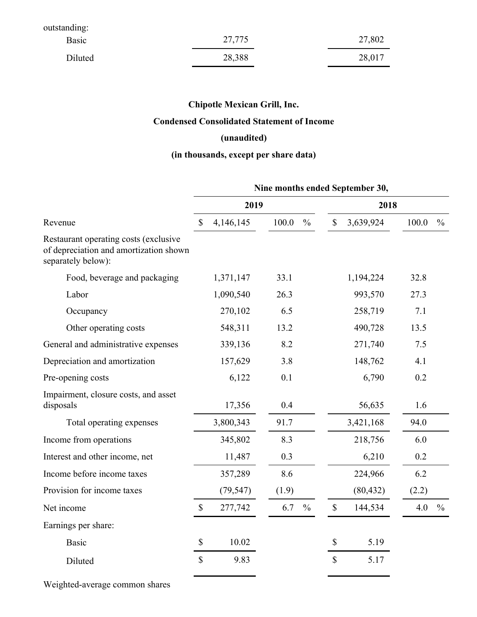| outstanding: |        |        |
|--------------|--------|--------|
| Basic        | 27,775 | 27,802 |
| Diluted      | 28,388 | 28,017 |

## **Condensed Consolidated Statement of Income**

## **(unaudited)**

## **(in thousands, except per share data)**

|                                                                                                       | Nine months ended September 30, |           |       |               |                           |           |       |               |  |  |
|-------------------------------------------------------------------------------------------------------|---------------------------------|-----------|-------|---------------|---------------------------|-----------|-------|---------------|--|--|
| Revenue                                                                                               |                                 | 2019      |       |               |                           | 2018      |       |               |  |  |
|                                                                                                       |                                 | 4,146,145 | 100.0 | $\frac{0}{0}$ | $\mathbb{S}$              | 3,639,924 | 100.0 | $\frac{0}{0}$ |  |  |
| Restaurant operating costs (exclusive<br>of depreciation and amortization shown<br>separately below): |                                 |           |       |               |                           |           |       |               |  |  |
| Food, beverage and packaging                                                                          |                                 | 1,371,147 | 33.1  |               |                           | 1,194,224 | 32.8  |               |  |  |
| Labor                                                                                                 |                                 | 1,090,540 | 26.3  |               |                           | 993,570   | 27.3  |               |  |  |
| Occupancy                                                                                             |                                 | 270,102   | 6.5   |               |                           | 258,719   | 7.1   |               |  |  |
| Other operating costs                                                                                 |                                 | 548,311   | 13.2  |               |                           | 490,728   | 13.5  |               |  |  |
| General and administrative expenses                                                                   |                                 | 339,136   | 8.2   |               |                           | 271,740   | 7.5   |               |  |  |
| Depreciation and amortization                                                                         |                                 | 157,629   | 3.8   |               |                           | 148,762   | 4.1   |               |  |  |
| Pre-opening costs                                                                                     |                                 | 6,122     | 0.1   |               |                           | 6,790     | 0.2   |               |  |  |
| Impairment, closure costs, and asset<br>disposals                                                     |                                 | 17,356    | 0.4   |               |                           | 56,635    | 1.6   |               |  |  |
| Total operating expenses                                                                              |                                 | 3,800,343 | 91.7  |               |                           | 3,421,168 | 94.0  |               |  |  |
| Income from operations                                                                                |                                 | 345,802   | 8.3   |               |                           | 218,756   | 6.0   |               |  |  |
| Interest and other income, net                                                                        |                                 | 11,487    | 0.3   |               |                           | 6,210     | 0.2   |               |  |  |
| Income before income taxes                                                                            |                                 | 357,289   | 8.6   |               |                           | 224,966   | 6.2   |               |  |  |
| Provision for income taxes                                                                            |                                 | (79, 547) | (1.9) |               |                           | (80, 432) | (2.2) |               |  |  |
| Net income                                                                                            | $\boldsymbol{\mathsf{S}}$       | 277,742   | 6.7   | $\frac{0}{0}$ | $\mathcal{S}$             | 144,534   | 4.0   | $\frac{0}{0}$ |  |  |
| Earnings per share:                                                                                   |                                 |           |       |               |                           |           |       |               |  |  |
| <b>Basic</b>                                                                                          | $\$$                            | 10.02     |       |               | $\boldsymbol{\mathsf{S}}$ | 5.19      |       |               |  |  |
| Diluted                                                                                               | $\$$                            | 9.83      |       |               | $\mathbb{S}$              | 5.17      |       |               |  |  |

Weighted-average common shares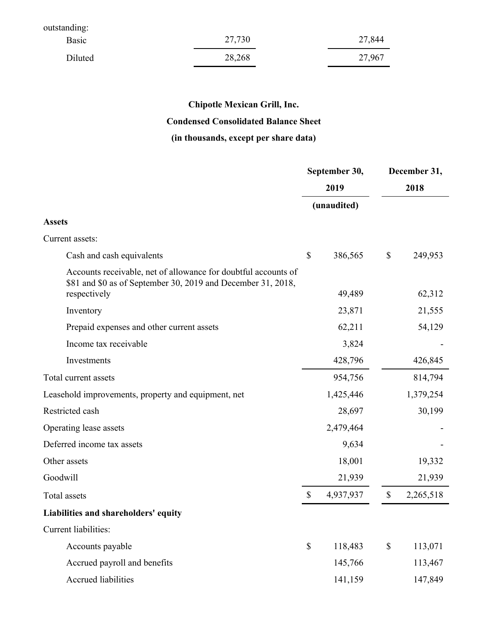| outstanding: |        |        |
|--------------|--------|--------|
| Basic        | 27,730 | 27,844 |
| Diluted      | 28,268 | 27,967 |

## **Condensed Consolidated Balance Sheet**

## **(in thousands, except per share data)**

|                                                                                                                                                |      | September 30, | December 31, |           |  |
|------------------------------------------------------------------------------------------------------------------------------------------------|------|---------------|--------------|-----------|--|
|                                                                                                                                                |      | 2019          |              | 2018      |  |
|                                                                                                                                                |      | (unaudited)   |              |           |  |
| <b>Assets</b>                                                                                                                                  |      |               |              |           |  |
| Current assets:                                                                                                                                |      |               |              |           |  |
| Cash and cash equivalents                                                                                                                      | \$   | 386,565       | \$           | 249,953   |  |
| Accounts receivable, net of allowance for doubtful accounts of<br>\$81 and \$0 as of September 30, 2019 and December 31, 2018,<br>respectively |      | 49,489        |              | 62,312    |  |
| Inventory                                                                                                                                      |      | 23,871        |              | 21,555    |  |
| Prepaid expenses and other current assets                                                                                                      |      | 62,211        |              | 54,129    |  |
| Income tax receivable                                                                                                                          |      | 3,824         |              |           |  |
| Investments                                                                                                                                    |      | 428,796       |              | 426,845   |  |
| Total current assets                                                                                                                           |      | 954,756       |              | 814,794   |  |
| Leasehold improvements, property and equipment, net                                                                                            |      | 1,425,446     |              | 1,379,254 |  |
| Restricted cash                                                                                                                                |      | 28,697        |              | 30,199    |  |
| Operating lease assets                                                                                                                         |      | 2,479,464     |              |           |  |
| Deferred income tax assets                                                                                                                     |      | 9,634         |              |           |  |
| Other assets                                                                                                                                   |      | 18,001        |              | 19,332    |  |
| Goodwill                                                                                                                                       |      | 21,939        |              | 21,939    |  |
| Total assets                                                                                                                                   | \$   | 4,937,937     | $\$$         | 2,265,518 |  |
| Liabilities and shareholders' equity                                                                                                           |      |               |              |           |  |
| Current liabilities:                                                                                                                           |      |               |              |           |  |
| Accounts payable                                                                                                                               | $\$$ | 118,483       | $\$$         | 113,071   |  |
| Accrued payroll and benefits                                                                                                                   |      | 145,766       |              | 113,467   |  |
| Accrued liabilities                                                                                                                            |      | 141,159       |              | 147,849   |  |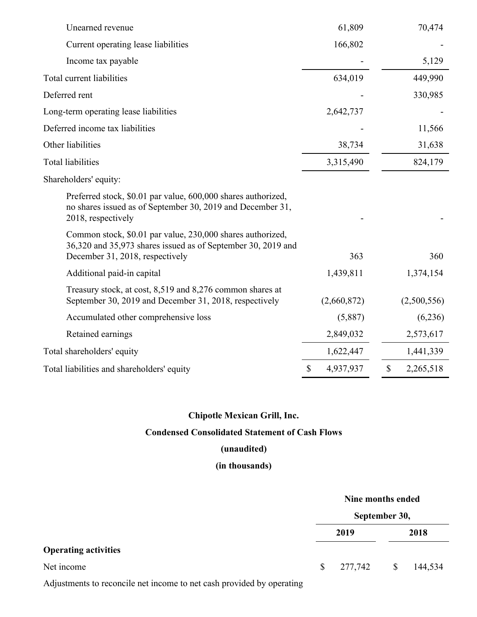| Unearned revenue                                                                                                                                              | 61,809          | 70,474                                 |
|---------------------------------------------------------------------------------------------------------------------------------------------------------------|-----------------|----------------------------------------|
| Current operating lease liabilities                                                                                                                           | 166,802         |                                        |
| Income tax payable                                                                                                                                            |                 | 5,129                                  |
| Total current liabilities                                                                                                                                     | 634,019         | 449,990                                |
| Deferred rent                                                                                                                                                 |                 | 330,985                                |
| Long-term operating lease liabilities                                                                                                                         | 2,642,737       |                                        |
| Deferred income tax liabilities                                                                                                                               |                 | 11,566                                 |
| Other liabilities                                                                                                                                             | 38,734          | 31,638                                 |
| <b>Total liabilities</b>                                                                                                                                      | 3,315,490       | 824,179                                |
| Shareholders' equity:                                                                                                                                         |                 |                                        |
| Preferred stock, \$0.01 par value, 600,000 shares authorized,<br>no shares issued as of September 30, 2019 and December 31,<br>2018, respectively             |                 |                                        |
| Common stock, \$0.01 par value, 230,000 shares authorized,<br>36,320 and 35,973 shares issued as of September 30, 2019 and<br>December 31, 2018, respectively | 363             | 360                                    |
| Additional paid-in capital                                                                                                                                    | 1,439,811       | 1,374,154                              |
| Treasury stock, at cost, 8,519 and 8,276 common shares at<br>September 30, 2019 and December 31, 2018, respectively                                           | (2,660,872)     | (2,500,556)                            |
| Accumulated other comprehensive loss                                                                                                                          | (5,887)         | (6,236)                                |
| Retained earnings                                                                                                                                             | 2,849,032       | 2,573,617                              |
| Total shareholders' equity                                                                                                                                    | 1,622,447       | 1,441,339                              |
| Total liabilities and shareholders' equity                                                                                                                    | \$<br>4,937,937 | $\boldsymbol{\mathsf{S}}$<br>2,265,518 |

**Condensed Consolidated Statement of Cash Flows**

#### **(unaudited)**

## **(in thousands)**

# **Nine months ended September 30, 2019 2018 Operating activities** Net income \$ 277,742 \$ 144,534

Adjustments to reconcile net income to net cash provided by operating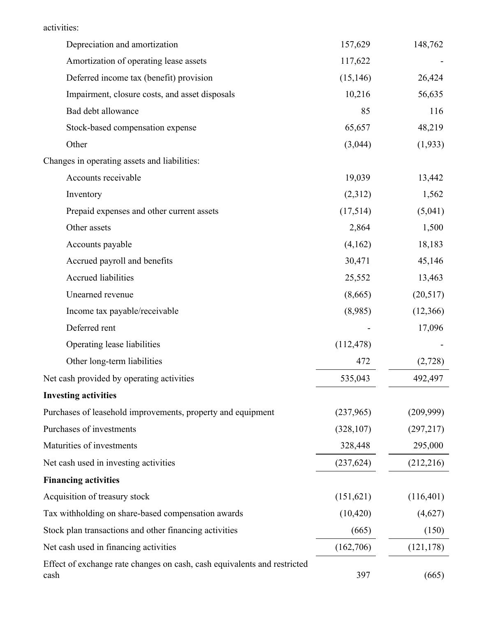|  | activities: |
|--|-------------|
|  |             |

| Depreciation and amortization                                                    | 157,629    | 148,762    |
|----------------------------------------------------------------------------------|------------|------------|
| Amortization of operating lease assets                                           | 117,622    |            |
| Deferred income tax (benefit) provision                                          | (15, 146)  | 26,424     |
| Impairment, closure costs, and asset disposals                                   | 10,216     | 56,635     |
| Bad debt allowance                                                               | 85         | 116        |
| Stock-based compensation expense                                                 | 65,657     | 48,219     |
| Other                                                                            | (3,044)    | (1,933)    |
| Changes in operating assets and liabilities:                                     |            |            |
| Accounts receivable                                                              | 19,039     | 13,442     |
| Inventory                                                                        | (2,312)    | 1,562      |
| Prepaid expenses and other current assets                                        | (17,514)   | (5,041)    |
| Other assets                                                                     | 2,864      | 1,500      |
| Accounts payable                                                                 | (4,162)    | 18,183     |
| Accrued payroll and benefits                                                     | 30,471     | 45,146     |
| <b>Accrued liabilities</b>                                                       | 25,552     | 13,463     |
| Unearned revenue                                                                 | (8,665)    | (20,517)   |
| Income tax payable/receivable                                                    | (8,985)    | (12,366)   |
| Deferred rent                                                                    |            | 17,096     |
| Operating lease liabilities                                                      | (112, 478) |            |
| Other long-term liabilities                                                      | 472        | (2,728)    |
| Net cash provided by operating activities                                        | 535,043    | 492,497    |
| <b>Investing activities</b>                                                      |            |            |
| Purchases of leasehold improvements, property and equipment                      | (237,965)  | (209,999)  |
| Purchases of investments                                                         | (328, 107) | (297,217)  |
| Maturities of investments                                                        | 328,448    | 295,000    |
| Net cash used in investing activities                                            | (237, 624) | (212, 216) |
| <b>Financing activities</b>                                                      |            |            |
| Acquisition of treasury stock                                                    | (151, 621) | (116,401)  |
| Tax withholding on share-based compensation awards                               | (10, 420)  | (4,627)    |
| Stock plan transactions and other financing activities                           | (665)      | (150)      |
| Net cash used in financing activities                                            | (162,706)  | (121, 178) |
| Effect of exchange rate changes on cash, cash equivalents and restricted<br>cash | 397        | (665)      |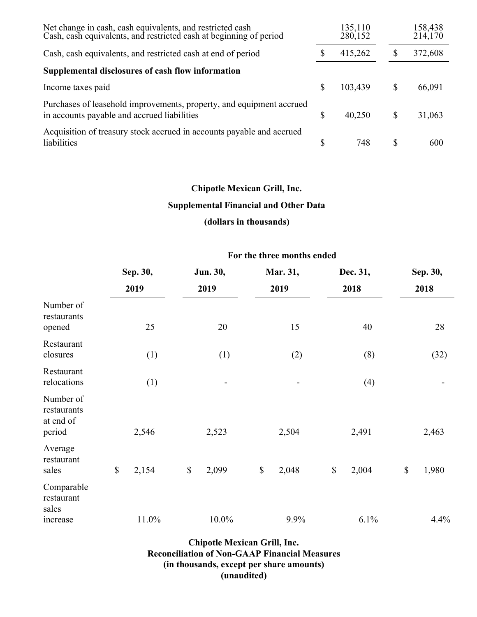| Net change in cash, cash equivalents, and restricted cash<br>Cash, cash equivalents, and restricted cash at beginning of period |   | 135,110<br>280,152 |   | 158,438<br>214,170 |
|---------------------------------------------------------------------------------------------------------------------------------|---|--------------------|---|--------------------|
| Cash, cash equivalents, and restricted cash at end of period                                                                    | S | 415,262            |   | 372,608            |
| Supplemental disclosures of cash flow information                                                                               |   |                    |   |                    |
| Income taxes paid                                                                                                               | S | 103,439            | S | 66,091             |
| Purchases of leasehold improvements, property, and equipment accrued<br>in accounts payable and accrued liabilities             | S | 40,250             | S | 31,063             |
| Acquisition of treasury stock accrued in accounts payable and accrued<br>liabilities                                            |   | 748                |   | 600                |

#### **Supplemental Financial and Other Data**

## **(dollars in thousands)**

#### **For the three months ended**

|                                                 | Sep. 30,     |       | Jun. 30,     |          | Mar. 31,    |    | Dec. 31, |              | Sep. 30, |  |
|-------------------------------------------------|--------------|-------|--------------|----------|-------------|----|----------|--------------|----------|--|
|                                                 |              | 2019  |              | 2019     | 2019        |    | 2018     |              | 2018     |  |
| Number of<br>restaurants<br>opened              |              | 25    |              | 20       | 15          |    | 40       |              | 28       |  |
| Restaurant<br>closures                          |              | (1)   |              | (1)      | (2)         |    | (8)      |              | (32)     |  |
| Restaurant<br>relocations                       |              | (1)   |              |          |             |    | (4)      |              |          |  |
| Number of<br>restaurants<br>at end of<br>period |              | 2,546 |              | 2,523    | 2,504       |    | 2,491    |              | 2,463    |  |
| Average<br>restaurant<br>sales                  | $\mathbb{S}$ | 2,154 | $\mathbb{S}$ | 2,099    | \$<br>2,048 | \$ | 2,004    | $\mathbb{S}$ | 1,980    |  |
| Comparable<br>restaurant<br>sales               |              | 11.0% |              | $10.0\%$ | 9.9%        |    | 6.1%     |              | 4.4%     |  |
| increase                                        |              |       |              |          |             |    |          |              |          |  |

**Chipotle Mexican Grill, Inc. Reconciliation of Non-GAAP Financial Measures (in thousands, except per share amounts) (unaudited)**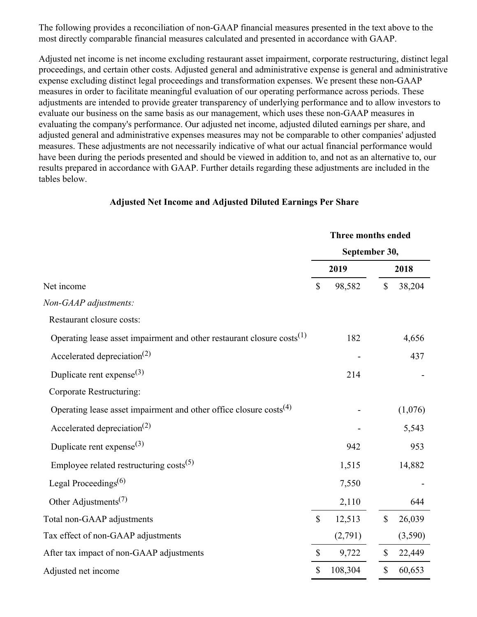The following provides a reconciliation of non-GAAP financial measures presented in the text above to the most directly comparable financial measures calculated and presented in accordance with GAAP.

Adjusted net income is net income excluding restaurant asset impairment, corporate restructuring, distinct legal proceedings, and certain other costs. Adjusted general and administrative expense is general and administrative expense excluding distinct legal proceedings and transformation expenses. We present these non-GAAP measures in order to facilitate meaningful evaluation of our operating performance across periods. These adjustments are intended to provide greater transparency of underlying performance and to allow investors to evaluate our business on the same basis as our management, which uses these non-GAAP measures in evaluating the company's performance. Our adjusted net income, adjusted diluted earnings per share, and adjusted general and administrative expenses measures may not be comparable to other companies' adjusted measures. These adjustments are not necessarily indicative of what our actual financial performance would have been during the periods presented and should be viewed in addition to, and not as an alternative to, our results prepared in accordance with GAAP. Further details regarding these adjustments are included in the tables below.

#### **Adjusted Net Income and Adjusted Diluted Earnings Per Share**

|                                                                                    |              | Three months ended |                           |         |  |  |
|------------------------------------------------------------------------------------|--------------|--------------------|---------------------------|---------|--|--|
|                                                                                    |              | September 30,      |                           |         |  |  |
|                                                                                    | 2019         |                    |                           | 2018    |  |  |
| Net income                                                                         | \$           | 98,582             | \$                        | 38,204  |  |  |
| Non-GAAP adjustments:                                                              |              |                    |                           |         |  |  |
| Restaurant closure costs:                                                          |              |                    |                           |         |  |  |
| Operating lease asset impairment and other restaurant closure costs <sup>(1)</sup> |              | 182                |                           | 4,656   |  |  |
| Accelerated depreciation <sup>(2)</sup>                                            |              |                    |                           | 437     |  |  |
| Duplicate rent expense <sup>(3)</sup>                                              |              | 214                |                           |         |  |  |
| Corporate Restructuring:                                                           |              |                    |                           |         |  |  |
| Operating lease asset impairment and other office closure costs <sup>(4)</sup>     |              |                    |                           | (1,076) |  |  |
| Accelerated depreciation <sup>(2)</sup>                                            |              |                    |                           | 5,543   |  |  |
| Duplicate rent expense <sup>(3)</sup>                                              |              | 942                |                           | 953     |  |  |
| Employee related restructuring $costs^{(5)}$                                       |              | 1,515              |                           | 14,882  |  |  |
| Legal Proceedings <sup><math>(6)</math></sup>                                      |              | 7,550              |                           |         |  |  |
| Other Adjustments <sup><math>(7)</math></sup>                                      |              | 2,110              |                           | 644     |  |  |
| Total non-GAAP adjustments                                                         | $\mathbb{S}$ | 12,513             | $\boldsymbol{\mathsf{S}}$ | 26,039  |  |  |
| Tax effect of non-GAAP adjustments                                                 |              | (2,791)            |                           | (3,590) |  |  |
| After tax impact of non-GAAP adjustments                                           | $\mathbb{S}$ | 9,722              | \$                        | 22,449  |  |  |
| Adjusted net income                                                                | \$           | 108,304            | \$                        | 60,653  |  |  |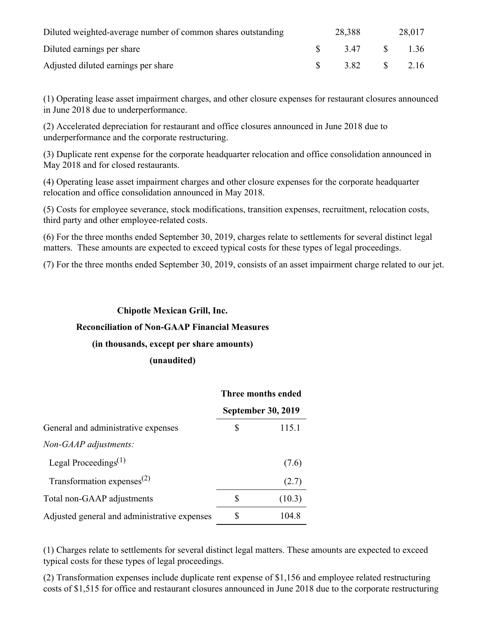| Diluted weighted-average number of common shares outstanding | 28,388 |          | 28,017 |
|--------------------------------------------------------------|--------|----------|--------|
| Diluted earnings per share                                   | 347    | $\sim$ S | 1.36   |
| Adjusted diluted earnings per share                          | 3.82   | S        | 2.16   |

(1) Operating lease asset impairment charges, and other closure expenses for restaurant closures announced in June 2018 due to underperformance.

(2) Accelerated depreciation for restaurant and office closures announced in June 2018 due to underperformance and the corporate restructuring.

(3) Duplicate rent expense for the corporate headquarter relocation and office consolidation announced in May 2018 and for closed restaurants.

(4) Operating lease asset impairment charges and other closure expenses for the corporate headquarter relocation and office consolidation announced in May 2018.

(5) Costs for employee severance, stock modifications, transition expenses, recruitment, relocation costs, third party and other employee-related costs.

(6) For the three months ended September 30, 2019, charges relate to settlements for several distinct legal matters. These amounts are expected to exceed typical costs for these types of legal proceedings.

(7) For the three months ended September 30, 2019, consists of an asset impairment charge related to our jet.

#### **Chipotle Mexican Grill, Inc.**

#### **Reconciliation of Non-GAAP Financial Measures**

#### **(in thousands, except per share amounts)**

#### **(unaudited)**

|                                               | Three months ended<br><b>September 30, 2019</b> |        |
|-----------------------------------------------|-------------------------------------------------|--------|
|                                               |                                                 |        |
| General and administrative expenses           | \$                                              | 115.1  |
| Non-GAAP adjustments:                         |                                                 |        |
| Legal Proceedings <sup><math>(1)</math></sup> |                                                 | (7.6)  |
| Transformation expenses $^{(2)}$              |                                                 | (2.7)  |
| Total non-GAAP adjustments                    | S                                               | (10.3) |
| Adjusted general and administrative expenses  | \$                                              | 104.8  |

(1) Charges relate to settlements for several distinct legal matters. These amounts are expected to exceed typical costs for these types of legal proceedings.

(2) Transformation expenses include duplicate rent expense of \$1,156 and employee related restructuring costs of \$1,515 for office and restaurant closures announced in June 2018 due to the corporate restructuring